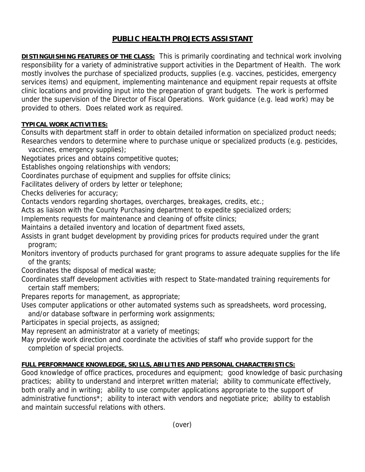## **PUBLIC HEALTH PROJECTS ASSISTANT**

**DISTINGUISHING FEATURES OF THE CLASS:** This is primarily coordinating and technical work involving responsibility for a variety of administrative support activities in the Department of Health. The work mostly involves the purchase of specialized products, supplies (e.g. vaccines, pesticides, emergency services items) and equipment, implementing maintenance and equipment repair requests at offsite clinic locations and providing input into the preparation of grant budgets. The work is performed under the supervision of the Director of Fiscal Operations. Work guidance (e.g. lead work) may be provided to others. Does related work as required.

## **TYPICAL WORK ACTIVITIES:**

Consults with department staff in order to obtain detailed information on specialized product needs; Researches vendors to determine where to purchase unique or specialized products (e.g. pesticides,

vaccines, emergency supplies);

Negotiates prices and obtains competitive quotes;

Establishes ongoing relationships with vendors;

Coordinates purchase of equipment and supplies for offsite clinics;

Facilitates delivery of orders by letter or telephone;

Checks deliveries for accuracy;

Contacts vendors regarding shortages, overcharges, breakages, credits, etc.;

Acts as liaison with the County Purchasing department to expedite specialized orders;

Implements requests for maintenance and cleaning of offsite clinics;

Maintains a detailed inventory and location of department fixed assets,

Assists in grant budget development by providing prices for products required under the grant program;

Monitors inventory of products purchased for grant programs to assure adequate supplies for the life of the grants;

Coordinates the disposal of medical waste;

Coordinates staff development activities with respect to State-mandated training requirements for certain staff members;

Prepares reports for management, as appropriate;

Uses computer applications or other automated systems such as spreadsheets, word processing,

and/or database software in performing work assignments;

Participates in special projects, as assigned;

May represent an administrator at a variety of meetings;

May provide work direction and coordinate the activities of staff who provide support for the completion of special projects.

## **FULL PERFORMANCE KNOWLEDGE, SKILLS, ABILITIES AND PERSONAL CHARACTERISTICS:**

Good knowledge of office practices, procedures and equipment; good knowledge of basic purchasing practices; ability to understand and interpret written material; ability to communicate effectively, both orally and in writing; ability to use computer applications appropriate to the support of administrative functions\*; ability to interact with vendors and negotiate price; ability to establish and maintain successful relations with others.